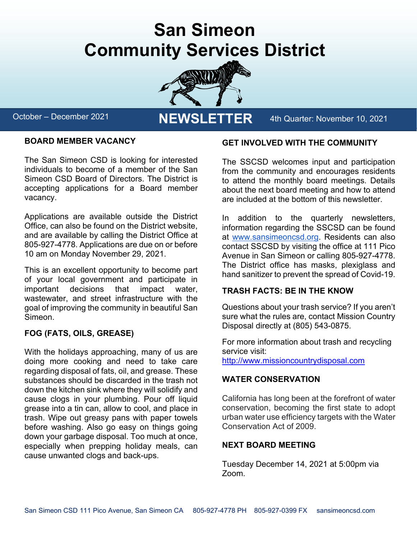# **San Simeon Community Services District**



October – December 2021 **NEWSLETTER** 4th Quarter: November 10, 2021

### **BOARD MEMBER VACANCY**

The San Simeon CSD is looking for interested individuals to become of a member of the San Simeon CSD Board of Directors. The District is accepting applications for a Board member vacancy.

Applications are available outside the District Office, can also be found on the District website, and are available by calling the District Office at 805-927-4778. Applications are due on or before 10 am on Monday November 29, 2021.

This is an excellent opportunity to become part of your local government and participate in important decisions that impact water, wastewater, and street infrastructure with the goal of improving the community in beautiful San Simeon.

### **FOG (FATS, OILS, GREASE)**

With the holidays approaching, many of us are doing more cooking and need to take care regarding disposal of fats, oil, and grease. These substances should be discarded in the trash not down the kitchen sink where they will solidify and cause clogs in your plumbing. Pour off liquid grease into a tin can, allow to cool, and place in trash. Wipe out greasy pans with paper towels before washing. Also go easy on things going down your garbage disposal. Too much at once, especially when prepping holiday meals, can cause unwanted clogs and back-ups.

#### **GET INVOLVED WITH THE COMMUNITY**

The SSCSD welcomes input and participation from the community and encourages residents to attend the monthly board meetings. Details about the next board meeting and how to attend are included at the bottom of this newsletter.

In addition to the quarterly newsletters, information regarding the SSCSD can be found at [www.sansimeoncsd.org.](http://www.sansimeoncsd.org/) Residents can also contact SSCSD by visiting the office at 111 Pico Avenue in San Simeon or calling 805-927-4778. The District office has masks, plexiglass and hand sanitizer to prevent the spread of Covid-19.

### **TRASH FACTS: BE IN THE KNOW**

Questions about your trash service? If you aren't sure what the rules are, contact Mission Country Disposal directly at (805) 543-0875.

For more information about trash and recycling service visit: [http://www.missioncountrydisposal.com](http://www.missioncountrydisposal.com/)

### **WATER CONSERVATION**

California has long been at the forefront of water conservation, becoming the first state to adopt urban water use efficiency targets with the Water Conservation Act of 2009.

### **NEXT BOARD MEETING**

Tuesday December 14, 2021 at 5:00pm via Zoom.